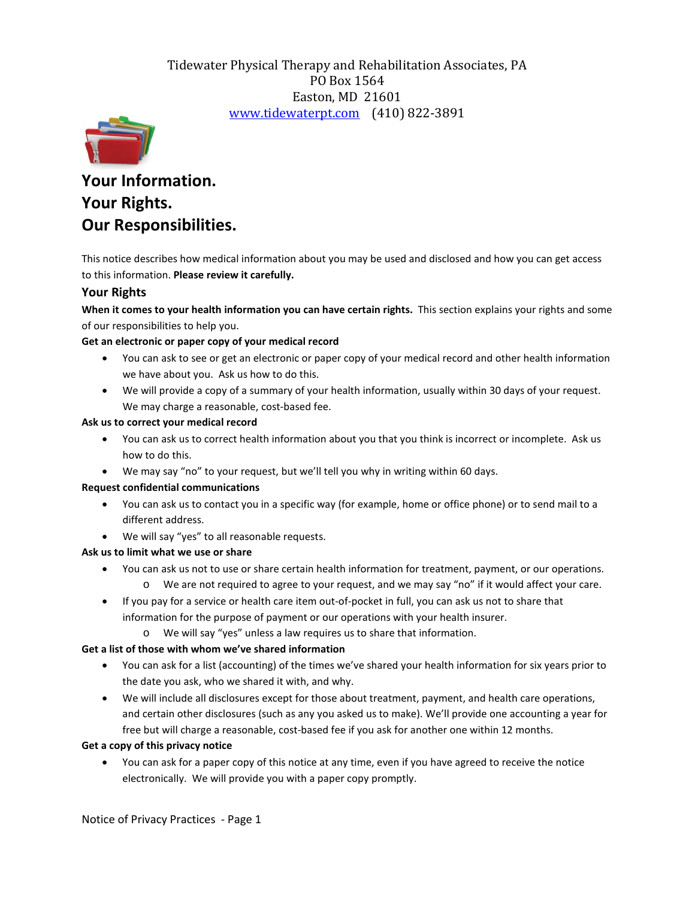# Tidewater Physical Therapy and Rehabilitation Associates, PA PO Box 1564 Easton, MD 21601 [www.tidewaterpt.com](http://www.tidewaterpt.com/) (410) 822-3891



# **Your Information. Your Rights. Our Responsibilities.**

This notice describes how medical information about you may be used and disclosed and how you can get access to this information. **Please review it carefully.**

## **Your Rights**

**When it comes to your health information you can have certain rights.** This section explains your rights and some of our responsibilities to help you.

## **Get an electronic or paper copy of your medical record**

- You can ask to see or get an electronic or paper copy of your medical record and other health information we have about you. Ask us how to do this.
- We will provide a copy of a summary of your health information, usually within 30 days of your request. We may charge a reasonable, cost-based fee.

## **Ask us to correct your medical record**

- You can ask us to correct health information about you that you think is incorrect or incomplete. Ask us how to do this.
- We may say "no" to your request, but we'll tell you why in writing within 60 days.

## **Request confidential communications**

- You can ask us to contact you in a specific way (for example, home or office phone) or to send mail to a different address.
- We will say "yes" to all reasonable requests.

## **Ask us to limit what we use or share**

- You can ask us not to use or share certain health information for treatment, payment, or our operations.
	- o We are not required to agree to your request, and we may say "no" if it would affect your care.
- If you pay for a service or health care item out-of-pocket in full, you can ask us not to share that information for the purpose of payment or our operations with your health insurer.
	- o We will say "yes" unless a law requires us to share that information.

## **Get a list of those with whom we've shared information**

- You can ask for a list (accounting) of the times we've shared your health information for six years prior to the date you ask, who we shared it with, and why.
- We will include all disclosures except for those about treatment, payment, and health care operations, and certain other disclosures (such as any you asked us to make). We'll provide one accounting a year for free but will charge a reasonable, cost-based fee if you ask for another one within 12 months.

## **Get a copy of this privacy notice**

• You can ask for a paper copy of this notice at any time, even if you have agreed to receive the notice electronically. We will provide you with a paper copy promptly.

Notice of Privacy Practices - Page 1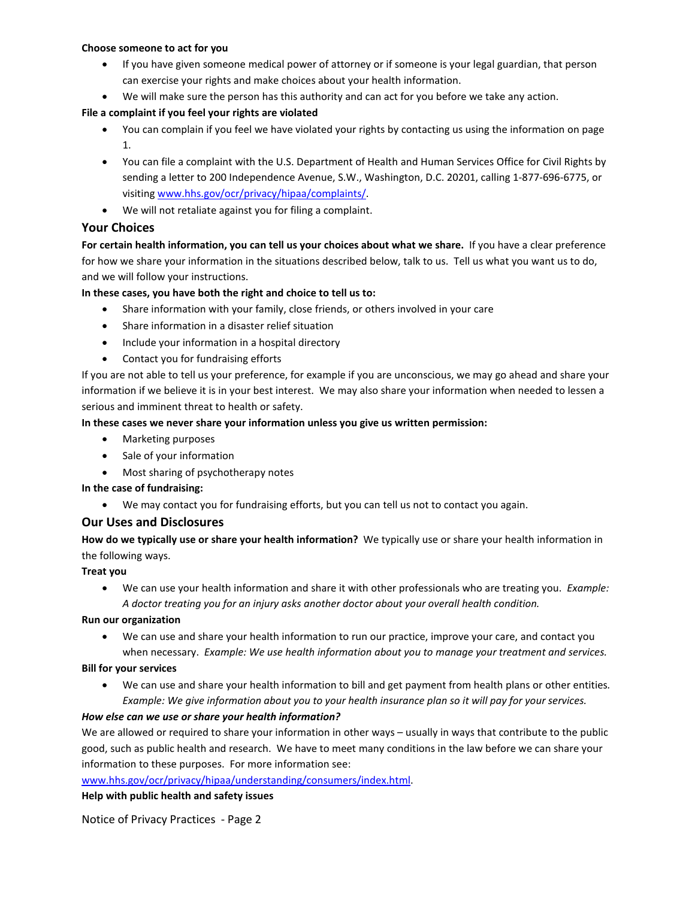#### **Choose someone to act for you**

- If you have given someone medical power of attorney or if someone is your legal guardian, that person can exercise your rights and make choices about your health information.
- We will make sure the person has this authority and can act for you before we take any action.

## **File a complaint if you feel your rights are violated**

- You can complain if you feel we have violated your rights by contacting us using the information on page 1.
- You can file a complaint with the U.S. Department of Health and Human Services Office for Civil Rights by sending a letter to 200 Independence Avenue, S.W., Washington, D.C. 20201, calling 1-877-696-6775, or visiting [www.hhs.gov/ocr/privacy/hipaa/complaints/.](http://www.hhs.gov/ocr/privacy/hipaa/complaints/)
- We will not retaliate against you for filing a complaint.

## **Your Choices**

**For certain health information, you can tell us your choices about what we share.** If you have a clear preference for how we share your information in the situations described below, talk to us. Tell us what you want us to do, and we will follow your instructions.

## **In these cases, you have both the right and choice to tell us to:**

- Share information with your family, close friends, or others involved in your care
- Share information in a disaster relief situation
- Include your information in a hospital directory
- Contact you for fundraising efforts

If you are not able to tell us your preference, for example if you are unconscious, we may go ahead and share your information if we believe it is in your best interest. We may also share your information when needed to lessen a serious and imminent threat to health or safety.

## **In these cases we never share your information unless you give us written permission:**

- Marketing purposes
- Sale of your information
- Most sharing of psychotherapy notes

## **In the case of fundraising:**

• We may contact you for fundraising efforts, but you can tell us not to contact you again.

## **Our Uses and Disclosures**

**How do we typically use or share your health information?** We typically use or share your health information in the following ways.

## **Treat you**

• We can use your health information and share it with other professionals who are treating you. *Example: A doctor treating you for an injury asks another doctor about your overall health condition.*

## **Run our organization**

• We can use and share your health information to run our practice, improve your care, and contact you when necessary. *Example: We use health information about you to manage your treatment and services.*

## **Bill for your services**

• We can use and share your health information to bill and get payment from health plans or other entities*. Example: We give information about you to your health insurance plan so it will pay for your services.* 

## *How else can we use or share your health information?*

We are allowed or required to share your information in other ways – usually in ways that contribute to the public good, such as public health and research. We have to meet many conditions in the law before we can share your information to these purposes. For more information see:

[www.hhs.gov/ocr/privacy/hipaa/understanding/consumers/index.html.](http://www.hhs.gov/ocr/privacy/hipaa/understanding/consumers/index.html)

**Help with public health and safety issues**

Notice of Privacy Practices - Page 2